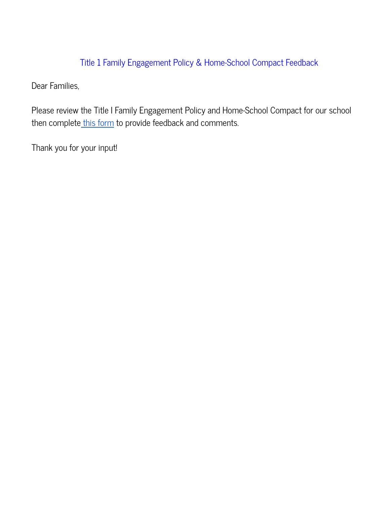# Title 1 Family Engagement Policy & Home-School Compact Feedback

Dear Families,

Please review the Title I Family Engagement Policy and Home-School Compact for our school then complete this [form](https://docs.google.com/forms/d/e/1FAIpQLSeX8IAuuWDAlka4c7pKTdwFODIn4xvw9xP3ibe73HVkjzgpUQ/viewform?usp=sf_link) to provide feedback and comments.

Thank you for your input!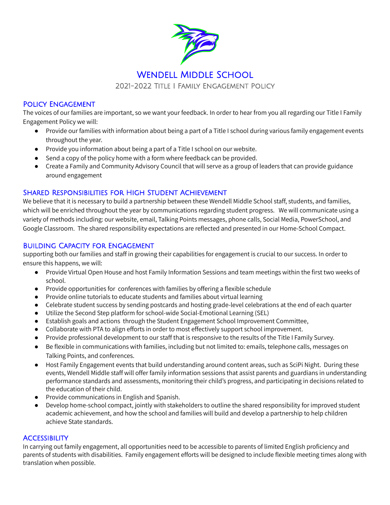

#### Policy Engagement

The voices of our families are important, so we want your feedback. In order to hear from you all regarding our Title I Family Engagement Policy we will:

- Provide our families with information about being a part of a Title I school during various family engagement events throughout the year.
- Provide you information about being a part of a Title I school on our website.
- Send a copy of the policy home with a form where feedback can be provided.
- Create a Family and Community Advisory Council that will serve as a group of leaders that can provide guidance around engagement

#### Shared Responsibilities for High Student Achievement

We believe that it is necessary to build a partnership between these Wendell Middle School staff, students, and families, which will be enriched throughout the year by communications regarding student progress. We will communicate using a variety of methods including: our website, email, Talking Points messages, phone calls, Social Media, PowerSchool, and Google Classroom. The shared responsibility expectations are reflected and presented in our Home-School Compact.

#### Building Capacity for Engagement

supporting both our families and staff in growing their capabilities for engagement is crucial to our success. In order to ensure this happens, we will:

- Provide Virtual Open House and host Family Information Sessions and team meetings within the first two weeks of school.
- Provide opportunities for conferences with families by offering a flexible schedule
- Provide online tutorials to educate students and families about virtual learning
- Celebrate student success by sending postcards and hosting grade-level celebrations at the end of each quarter
- Utilize the Second Step platform for school-wide Social-Emotional Learning (SEL)
- Establish goals and actions through the Student Engagement School Improvement Committee,
- Collaborate with PTA to align efforts in order to most effectively support school improvement.
- Provide professional development to our staff that is responsive to the results of the Title I Family Survey.
- Be flexible in communications with families, including but not limited to: emails, telephone calls, messages on Talking Points, and conferences.
- Host Family Engagement events that build understanding around content areas, such as SciPi Night. During these events, Wendell Middle staff will offer family information sessions that assist parents and guardians in understanding performance standards and assessments, monitoring their child's progress, and participating in decisions related to the education of their child.
- Provide communications in English and Spanish.
- Develop home-school compact, jointly with stakeholders to outline the shared responsibility for improved student academic achievement, and how the school and families will build and develop a partnership to help children achieve State standards.

#### **ACCESSIBILITY**

In carrying out family engagement, all opportunities need to be accessible to parents of limited English proficiency and parents of students with disabilities. Family engagement efforts will be designed to include flexible meeting times along with translation when possible.